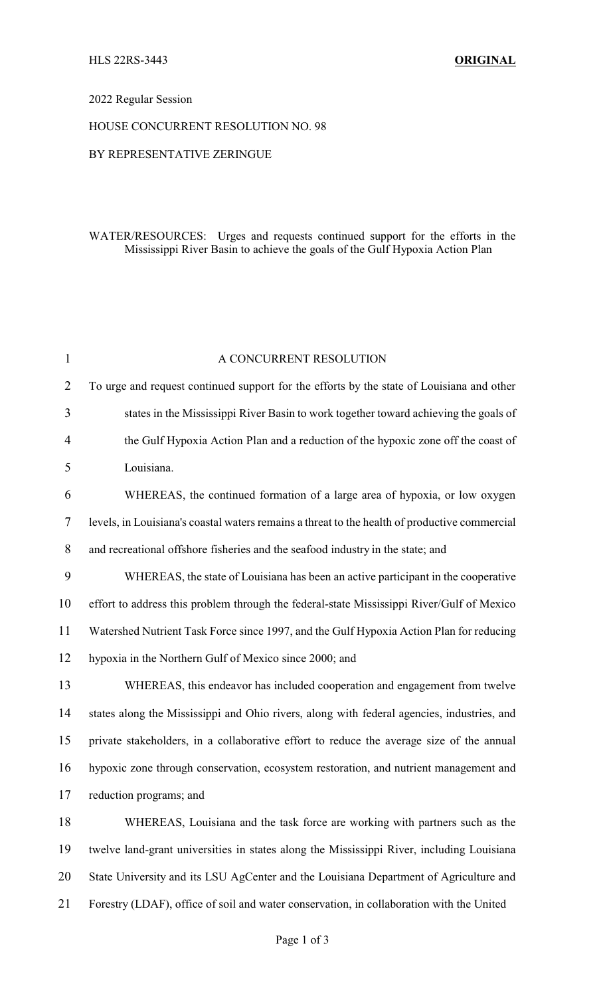# 2022 Regular Session

#### HOUSE CONCURRENT RESOLUTION NO. 98

### BY REPRESENTATIVE ZERINGUE

# WATER/RESOURCES: Urges and requests continued support for the efforts in the Mississippi River Basin to achieve the goals of the Gulf Hypoxia Action Plan

| $\mathbf{1}$   | A CONCURRENT RESOLUTION                                                                       |
|----------------|-----------------------------------------------------------------------------------------------|
| $\overline{2}$ | To urge and request continued support for the efforts by the state of Louisiana and other     |
| 3              | states in the Mississippi River Basin to work together toward achieving the goals of          |
| 4              | the Gulf Hypoxia Action Plan and a reduction of the hypoxic zone off the coast of             |
| 5              | Louisiana.                                                                                    |
| 6              | WHEREAS, the continued formation of a large area of hypoxia, or low oxygen                    |
| 7              | levels, in Louisiana's coastal waters remains a threat to the health of productive commercial |
| 8              | and recreational offshore fisheries and the seafood industry in the state; and                |
| 9              | WHEREAS, the state of Louisiana has been an active participant in the cooperative             |
| 10             | effort to address this problem through the federal-state Mississippi River/Gulf of Mexico     |
| 11             | Watershed Nutrient Task Force since 1997, and the Gulf Hypoxia Action Plan for reducing       |
| 12             | hypoxia in the Northern Gulf of Mexico since 2000; and                                        |
| 13             | WHEREAS, this endeavor has included cooperation and engagement from twelve                    |
| 14             | states along the Mississippi and Ohio rivers, along with federal agencies, industries, and    |
| 15             | private stakeholders, in a collaborative effort to reduce the average size of the annual      |
| 16             | hypoxic zone through conservation, ecosystem restoration, and nutrient management and         |
| 17             | reduction programs; and                                                                       |
| 18             | WHEREAS, Louisiana and the task force are working with partners such as the                   |
| 19             | twelve land-grant universities in states along the Mississippi River, including Louisiana     |
| 20             | State University and its LSU AgCenter and the Louisiana Department of Agriculture and         |
| 21             | Forestry (LDAF), office of soil and water conservation, in collaboration with the United      |
|                |                                                                                               |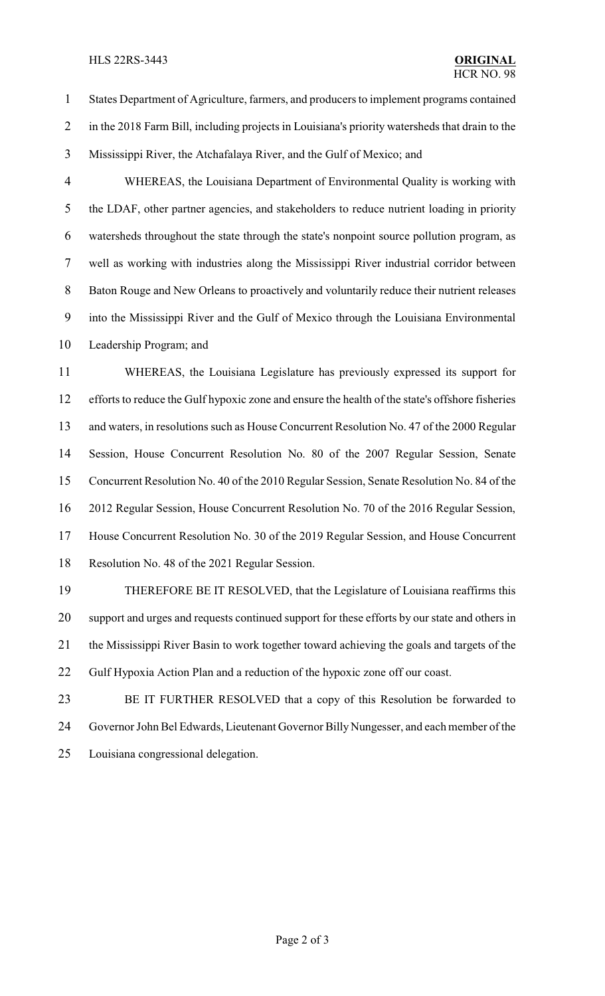#### HLS 22RS-3443 **ORIGINAL**

 States Department of Agriculture, farmers, and producers to implement programs contained in the 2018 Farm Bill, including projects in Louisiana's priority watersheds that drain to the Mississippi River, the Atchafalaya River, and the Gulf of Mexico; and

 WHEREAS, the Louisiana Department of Environmental Quality is working with the LDAF, other partner agencies, and stakeholders to reduce nutrient loading in priority watersheds throughout the state through the state's nonpoint source pollution program, as well as working with industries along the Mississippi River industrial corridor between Baton Rouge and New Orleans to proactively and voluntarily reduce their nutrient releases into the Mississippi River and the Gulf of Mexico through the Louisiana Environmental Leadership Program; and

 WHEREAS, the Louisiana Legislature has previously expressed its support for efforts to reduce the Gulf hypoxic zone and ensure the health of the state's offshore fisheries and waters, in resolutions such as House Concurrent Resolution No. 47 of the 2000 Regular Session, House Concurrent Resolution No. 80 of the 2007 Regular Session, Senate Concurrent Resolution No. 40 of the 2010 Regular Session, Senate Resolution No. 84 of the 2012 Regular Session, House Concurrent Resolution No. 70 of the 2016 Regular Session, House Concurrent Resolution No. 30 of the 2019 Regular Session, and House Concurrent Resolution No. 48 of the 2021 Regular Session.

 THEREFORE BE IT RESOLVED, that the Legislature of Louisiana reaffirms this support and urges and requests continued support for these efforts by our state and others in the Mississippi River Basin to work together toward achieving the goals and targets of the Gulf Hypoxia Action Plan and a reduction of the hypoxic zone off our coast.

 BE IT FURTHER RESOLVED that a copy of this Resolution be forwarded to 24 Governor John Bel Edwards, Lieutenant Governor Billy Nungesser, and each member of the Louisiana congressional delegation.